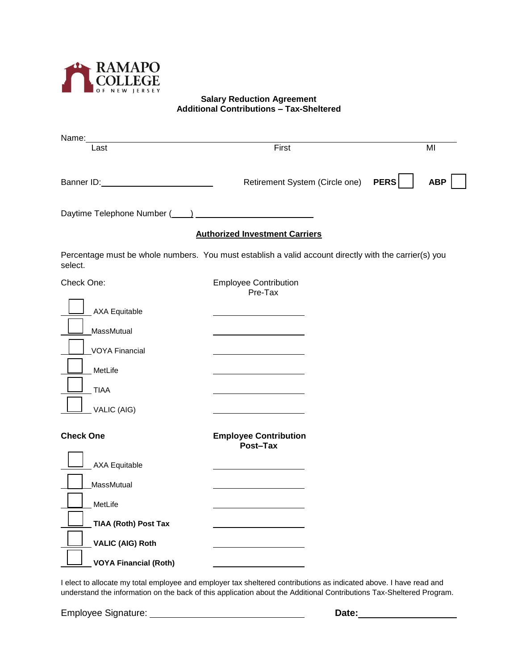

## **Salary Reduction Agreement Additional Contributions – Tax-Sheltered**

| Name:                                                                                                            |                                          |  |             |            |
|------------------------------------------------------------------------------------------------------------------|------------------------------------------|--|-------------|------------|
| Last                                                                                                             | First                                    |  | MI          |            |
|                                                                                                                  | Retirement System (Circle one)           |  | <b>PERS</b> | <b>ABP</b> |
|                                                                                                                  |                                          |  |             |            |
|                                                                                                                  | <b>Authorized Investment Carriers</b>    |  |             |            |
| Percentage must be whole numbers. You must establish a valid account directly with the carrier(s) you<br>select. |                                          |  |             |            |
| Check One:                                                                                                       | <b>Employee Contribution</b><br>Pre-Tax  |  |             |            |
| <b>AXA Equitable</b>                                                                                             |                                          |  |             |            |
| MassMutual                                                                                                       |                                          |  |             |            |
| <b>VOYA Financial</b>                                                                                            |                                          |  |             |            |
| MetLife                                                                                                          |                                          |  |             |            |
| <b>TIAA</b>                                                                                                      |                                          |  |             |            |
| VALIC (AIG)                                                                                                      |                                          |  |             |            |
| <b>Check One</b>                                                                                                 | <b>Employee Contribution</b><br>Post-Tax |  |             |            |
| <b>AXA Equitable</b>                                                                                             |                                          |  |             |            |
| MassMutual                                                                                                       |                                          |  |             |            |
| MetLife                                                                                                          |                                          |  |             |            |
| <b>TIAA (Roth) Post Tax</b>                                                                                      |                                          |  |             |            |
| <b>VALIC (AIG) Roth</b>                                                                                          |                                          |  |             |            |
| <b>VOYA Financial (Roth)</b>                                                                                     |                                          |  |             |            |

I elect to allocate my total employee and employer tax sheltered contributions as indicated above. I have read and understand the information on the back of this application about the Additional Contributions Tax-Sheltered Program.

Employee Signature: **Date:**